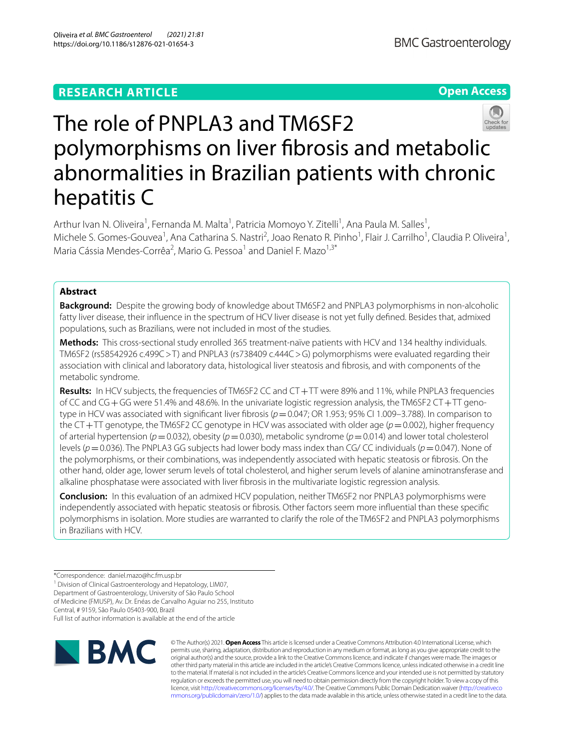## **RESEARCH ARTICLE**

**Open Access**



# The role of PNPLA3 and TM6SF2 polymorphisms on liver fbrosis and metabolic abnormalities in Brazilian patients with chronic hepatitis C

Arthur Ivan N. Oliveira<sup>1</sup>, Fernanda M. Malta<sup>1</sup>, Patricia Momoyo Y. Zitelli<sup>1</sup>, Ana Paula M. Salles<sup>1</sup>, Michele S. Gomes-Gouvea<sup>1</sup>, Ana Catharina S. Nastri<sup>2</sup>, Joao Renato R. Pinho<sup>1</sup>, Flair J. Carrilho<sup>1</sup>, Claudia P. Oliveira<sup>1</sup>, Maria Cássia Mendes-Corrêa<sup>2</sup>, Mario G. Pessoa<sup>1</sup> and Daniel F. Mazo<sup>1,3\*</sup>

## **Abstract**

**Background:** Despite the growing body of knowledge about TM6SF2 and PNPLA3 polymorphisms in non-alcoholic fatty liver disease, their infuence in the spectrum of HCV liver disease is not yet fully defned. Besides that, admixed populations, such as Brazilians, were not included in most of the studies.

**Methods:** This cross-sectional study enrolled 365 treatment-naïve patients with HCV and 134 healthy individuals. TM6SF2 (rs58542926 c.499C>T) and PNPLA3 (rs738409 c.444C>G) polymorphisms were evaluated regarding their association with clinical and laboratory data, histological liver steatosis and fbrosis, and with components of the metabolic syndrome.

**Results:** In HCV subjects, the frequencies of TM6SF2 CC and CT+TT were 89% and 11%, while PNPLA3 frequencies of CC and CG + GG were 51.4% and 48.6%. In the univariate logistic regression analysis, the TM6SF2 CT + TT genotype in HCV was associated with significant liver fibrosis ( $p=0.047$ ; OR 1.953; 95% CI 1.009–3.788). In comparison to the CT+TT genotype, the TM6SF2 CC genotype in HCV was associated with older age ( $p=0.002$ ), higher frequency of arterial hypertension (*p*=0.032), obesity (*p*=0.030), metabolic syndrome (*p*=0.014) and lower total cholesterol levels (*p*=0.036). The PNPLA3 GG subjects had lower body mass index than CG/ CC individuals (*p*=0.047). None of the polymorphisms, or their combinations, was independently associated with hepatic steatosis or fbrosis. On the other hand, older age, lower serum levels of total cholesterol, and higher serum levels of alanine aminotransferase and alkaline phosphatase were associated with liver fbrosis in the multivariate logistic regression analysis.

**Conclusion:** In this evaluation of an admixed HCV population, neither TM6SF2 nor PNPLA3 polymorphisms were independently associated with hepatic steatosis or fbrosis. Other factors seem more infuential than these specifc polymorphisms in isolation. More studies are warranted to clarify the role of the TM6SF2 and PNPLA3 polymorphisms in Brazilians with HCV.

<sup>\*</sup>Correspondence: daniel.mazo@hc.fm.usp.br <sup>1</sup> Division of Clinical Gastroenterology and Hepatology, LIM07, Department of Gastroenterology, University of São Paulo School of Medicine (FMUSP), Av. Dr. Enéas de Carvalho Aguiar no 255, Instituto Central, # 9159, São Paulo 05403‑900, Brazil Full list of author information is available at the end of the article



© The Author(s) 2021. **Open Access** This article is licensed under a Creative Commons Attribution 4.0 International License, which permits use, sharing, adaptation, distribution and reproduction in any medium or format, as long as you give appropriate credit to the original author(s) and the source, provide a link to the Creative Commons licence, and indicate if changes were made. The images or other third party material in this article are included in the article's Creative Commons licence, unless indicated otherwise in a credit line to the material. If material is not included in the article's Creative Commons licence and your intended use is not permitted by statutory regulation or exceeds the permitted use, you will need to obtain permission directly from the copyright holder. To view a copy of this licence, visit [http://creativecommons.org/licenses/by/4.0/.](http://creativecommons.org/licenses/by/4.0/) The Creative Commons Public Domain Dedication waiver ([http://creativeco](http://creativecommons.org/publicdomain/zero/1.0/) [mmons.org/publicdomain/zero/1.0/](http://creativecommons.org/publicdomain/zero/1.0/)) applies to the data made available in this article, unless otherwise stated in a credit line to the data.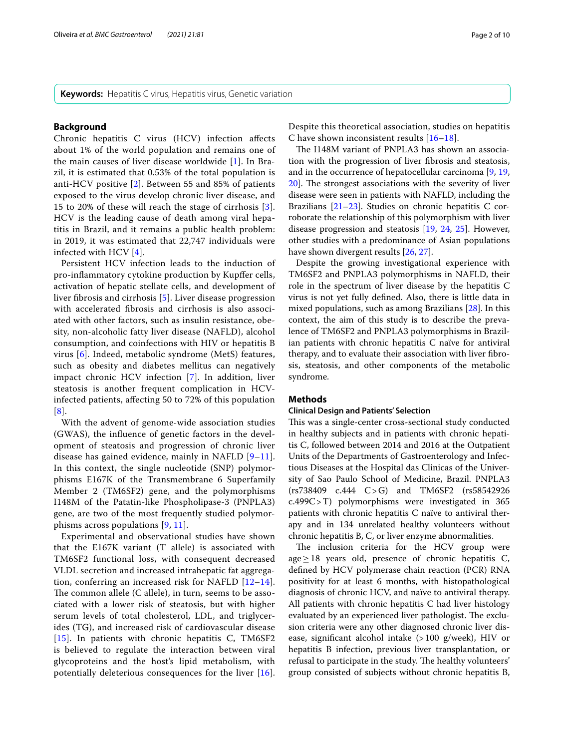**Keywords:** Hepatitis C virus, Hepatitis virus, Genetic variation

## **Background**

Chronic hepatitis C virus (HCV) infection afects about 1% of the world population and remains one of the main causes of liver disease worldwide [\[1](#page-8-0)]. In Brazil, it is estimated that 0.53% of the total population is anti-HCV positive [[2](#page-8-1)]. Between 55 and 85% of patients exposed to the virus develop chronic liver disease, and 15 to 20% of these will reach the stage of cirrhosis [[3\]](#page-8-2). HCV is the leading cause of death among viral hepatitis in Brazil, and it remains a public health problem: in 2019, it was estimated that 22,747 individuals were infected with HCV [\[4](#page-8-3)].

Persistent HCV infection leads to the induction of pro-infammatory cytokine production by Kupfer cells, activation of hepatic stellate cells, and development of liver fbrosis and cirrhosis [\[5](#page-8-4)]. Liver disease progression with accelerated fbrosis and cirrhosis is also associated with other factors, such as insulin resistance, obesity, non-alcoholic fatty liver disease (NAFLD), alcohol consumption, and coinfections with HIV or hepatitis B virus [[6](#page-8-5)]. Indeed, metabolic syndrome (MetS) features, such as obesity and diabetes mellitus can negatively impact chronic HCV infection [\[7](#page-8-6)]. In addition, liver steatosis is another frequent complication in HCVinfected patients, afecting 50 to 72% of this population [[8](#page-8-7)].

With the advent of genome-wide association studies (GWAS), the infuence of genetic factors in the development of steatosis and progression of chronic liver disease has gained evidence, mainly in NAFLD  $[9-11]$  $[9-11]$ . In this context, the single nucleotide (SNP) polymorphisms E167K of the Transmembrane 6 Superfamily Member 2 (TM6SF2) gene, and the polymorphisms I148M of the Patatin-like Phospholipase-3 (PNPLA3) gene, are two of the most frequently studied polymorphisms across populations [[9,](#page-8-8) [11\]](#page-8-9).

Experimental and observational studies have shown that the E167K variant (T allele) is associated with TM6SF2 functional loss, with consequent decreased VLDL secretion and increased intrahepatic fat aggregation, conferring an increased risk for NAFLD [[12–](#page-8-10)[14\]](#page-8-11). The common allele  $(C$  allele), in turn, seems to be associated with a lower risk of steatosis, but with higher serum levels of total cholesterol, LDL, and triglycerides (TG), and increased risk of cardiovascular disease [[15](#page-8-12)]. In patients with chronic hepatitis C, TM6SF2 is believed to regulate the interaction between viral glycoproteins and the host's lipid metabolism, with potentially deleterious consequences for the liver [[16\]](#page-8-13). Despite this theoretical association, studies on hepatitis

The I148M variant of PNPLA3 has shown an association with the progression of liver fbrosis and steatosis, and in the occurrence of hepatocellular carcinoma [[9,](#page-8-8) [19](#page-8-15), [20\]](#page-8-16). The strongest associations with the severity of liver disease were seen in patients with NAFLD, including the Brazilians [\[21](#page-8-17)[–23\]](#page-8-18). Studies on chronic hepatitis C corroborate the relationship of this polymorphism with liver disease progression and steatosis [[19](#page-8-15), [24](#page-8-19), [25\]](#page-8-20). However, other studies with a predominance of Asian populations have shown divergent results [\[26,](#page-8-21) [27](#page-8-22)].

C have shown inconsistent results [\[16](#page-8-13)[–18](#page-8-14)].

Despite the growing investigational experience with TM6SF2 and PNPLA3 polymorphisms in NAFLD, their role in the spectrum of liver disease by the hepatitis C virus is not yet fully defned. Also, there is little data in mixed populations, such as among Brazilians [[28](#page-8-23)]. In this context, the aim of this study is to describe the prevalence of TM6SF2 and PNPLA3 polymorphisms in Brazilian patients with chronic hepatitis C naïve for antiviral therapy, and to evaluate their association with liver fbrosis, steatosis, and other components of the metabolic syndrome.

## **Methods**

#### **Clinical Design and Patients' Selection**

This was a single-center cross-sectional study conducted in healthy subjects and in patients with chronic hepatitis C, followed between 2014 and 2016 at the Outpatient Units of the Departments of Gastroenterology and Infectious Diseases at the Hospital das Clinicas of the University of Sao Paulo School of Medicine, Brazil. PNPLA3 (rs738409 c.444 C>G) and TM6SF2 (rs58542926 c.499C>T) polymorphisms were investigated in 365 patients with chronic hepatitis C naïve to antiviral therapy and in 134 unrelated healthy volunteers without chronic hepatitis B, C, or liver enzyme abnormalities.

The inclusion criteria for the HCV group were age $\geq$ 18 years old, presence of chronic hepatitis C, defned by HCV polymerase chain reaction (PCR) RNA positivity for at least 6 months, with histopathological diagnosis of chronic HCV, and naïve to antiviral therapy. All patients with chronic hepatitis C had liver histology evaluated by an experienced liver pathologist. The exclusion criteria were any other diagnosed chronic liver disease, signifcant alcohol intake (>100 g/week), HIV or hepatitis B infection, previous liver transplantation, or refusal to participate in the study. The healthy volunteers' group consisted of subjects without chronic hepatitis B,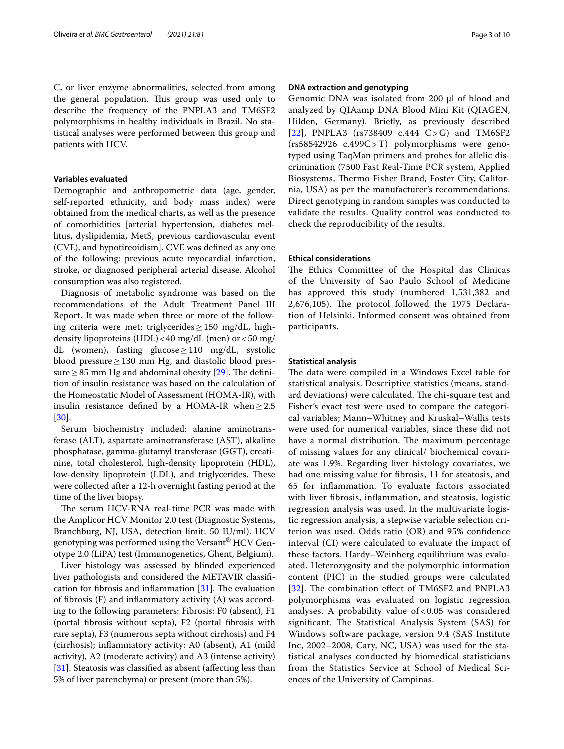C, or liver enzyme abnormalities, selected from among the general population. This group was used only to describe the frequency of the PNPLA3 and TM6SF2 polymorphisms in healthy individuals in Brazil. No statistical analyses were performed between this group and patients with HCV.

## **Variables evaluated**

Demographic and anthropometric data (age, gender, self-reported ethnicity, and body mass index) were obtained from the medical charts, as well as the presence of comorbidities [arterial hypertension, diabetes mellitus, dyslipidemia, MetS, previous cardiovascular event (CVE), and hypotireoidism]. CVE was defned as any one of the following: previous acute myocardial infarction, stroke, or diagnosed peripheral arterial disease. Alcohol consumption was also registered.

Diagnosis of metabolic syndrome was based on the recommendations of the Adult Treatment Panel III Report. It was made when three or more of the following criteria were met: triglycerides≥150 mg/dL, highdensity lipoproteins (HDL)<40 mg/dL (men) or<50 mg/ dL (women), fasting glucose≥110 mg/dL, systolic blood pressure  $\geq$  130 mm Hg, and diastolic blood pressure  $\geq$  85 mm Hg and abdominal obesity [\[29\]](#page-8-24). The definition of insulin resistance was based on the calculation of the Homeostatic Model of Assessment (HOMA-IR), with insulin resistance defined by a HOMA-IR when  $\geq$  2.5 [[30\]](#page-8-25).

Serum biochemistry included: alanine aminotransferase (ALT), aspartate aminotransferase (AST), alkaline phosphatase, gamma-glutamyl transferase (GGT), creatinine, total cholesterol, high-density lipoprotein (HDL), low-density lipoprotein (LDL), and triglycerides. These were collected after a 12-h overnight fasting period at the time of the liver biopsy.

The serum HCV-RNA real-time PCR was made with the Amplicor HCV Monitor 2.0 test (Diagnostic Systems, Branchburg, NJ, USA, detection limit: 50 IU/ml). HCV genotyping was performed using the Versant® HCV Genotype 2.0 (LiPA) test (Immunogenetics, Ghent, Belgium).

Liver histology was assessed by blinded experienced liver pathologists and considered the METAVIR classifcation for fibrosis and inflammation  $[31]$  $[31]$  $[31]$ . The evaluation of fbrosis (F) and infammatory activity (A) was according to the following parameters: Fibrosis: F0 (absent), F1 (portal fbrosis without septa), F2 (portal fbrosis with rare septa), F3 (numerous septa without cirrhosis) and F4 (cirrhosis); infammatory activity: A0 (absent), A1 (mild activity), A2 (moderate activity) and A3 (intense activity) [[31\]](#page-9-0). Steatosis was classified as absent (affecting less than 5% of liver parenchyma) or present (more than 5%).

## **DNA extraction and genotyping**

Genomic DNA was isolated from 200 μl of blood and analyzed by QIAamp DNA Blood Mini Kit (QIAGEN, Hilden, Germany). Briefy, as previously described [[22](#page-8-26)], PNPLA3 (rs738409 c.444 C>G) and TM6SF2  $(rs58542926 c.499C>T)$  polymorphisms were genotyped using TaqMan primers and probes for allelic discrimination (7500 Fast Real-Time PCR system, Applied Biosystems, Thermo Fisher Brand, Foster City, California, USA) as per the manufacturer's recommendations. Direct genotyping in random samples was conducted to validate the results. Quality control was conducted to check the reproducibility of the results.

#### **Ethical considerations**

The Ethics Committee of the Hospital das Clinicas of the University of Sao Paulo School of Medicine has approved this study (numbered 1,531,382 and 2,676,105). The protocol followed the 1975 Declaration of Helsinki. Informed consent was obtained from participants.

## **Statistical analysis**

The data were compiled in a Windows Excel table for statistical analysis. Descriptive statistics (means, standard deviations) were calculated. The chi-square test and Fisher's exact test were used to compare the categorical variables; Mann–Whitney and Kruskal–Wallis tests were used for numerical variables, since these did not have a normal distribution. The maximum percentage of missing values for any clinical/ biochemical covariate was 1.9%. Regarding liver histology covariates, we had one missing value for fbrosis, 11 for steatosis, and 65 for infammation. To evaluate factors associated with liver fbrosis, infammation, and steatosis, logistic regression analysis was used. In the multivariate logistic regression analysis, a stepwise variable selection criterion was used. Odds ratio (OR) and 95% confdence interval (CI) were calculated to evaluate the impact of these factors. Hardy–Weinberg equilibrium was evaluated. Heterozygosity and the polymorphic information content (PIC) in the studied groups were calculated [[32](#page-9-1)]. The combination effect of TM6SF2 and PNPLA3 polymorphisms was evaluated on logistic regression analyses. A probability value of < 0.05 was considered significant. The Statistical Analysis System (SAS) for Windows software package, version 9.4 (SAS Institute Inc, 2002–2008, Cary, NC, USA) was used for the statistical analyses conducted by biomedical statisticians from the Statistics Service at School of Medical Sciences of the University of Campinas.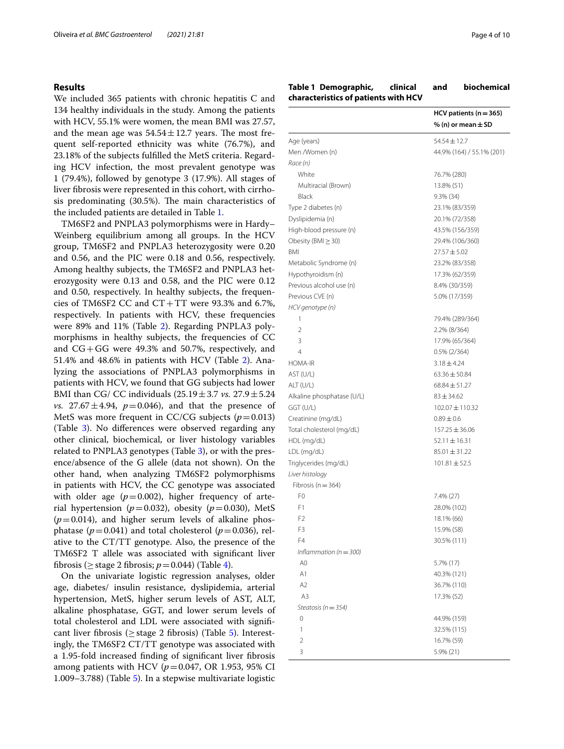## **Results**

We included 365 patients with chronic hepatitis C and 134 healthy individuals in the study. Among the patients with HCV, 55.1% were women, the mean BMI was 27.57, and the mean age was  $54.54 \pm 12.7$  years. The most frequent self-reported ethnicity was white (76.7%), and 23.18% of the subjects fulflled the MetS criteria. Regarding HCV infection, the most prevalent genotype was 1 (79.4%), followed by genotype 3 (17.9%). All stages of liver fbrosis were represented in this cohort, with cirrhosis predominating (30.5%). The main characteristics of the included patients are detailed in Table [1](#page-3-0).

TM6SF2 and PNPLA3 polymorphisms were in Hardy– Weinberg equilibrium among all groups. In the HCV group, TM6SF2 and PNPLA3 heterozygosity were 0.20 and 0.56, and the PIC were 0.18 and 0.56, respectively. Among healthy subjects, the TM6SF2 and PNPLA3 heterozygosity were 0.13 and 0.58, and the PIC were 0.12 and 0.50, respectively. In healthy subjects, the frequencies of TM6SF2 CC and  $CT+TT$  were 93.3% and 6.7%, respectively. In patients with HCV, these frequencies were 89% and 11% (Table [2](#page-4-0)). Regarding PNPLA3 polymorphisms in healthy subjects, the frequencies of CC and  $CG+GG$  were 49.3% and 50.7%, respectively, and 51.4% and 48.6% in patients with HCV (Table [2\)](#page-4-0). Analyzing the associations of PNPLA3 polymorphisms in patients with HCV, we found that GG subjects had lower BMI than CG/ CC individuals (25.19±3.7 *vs.* 27.9±5.24 *vs.* 27.67  $\pm$  4.94, *p* = 0.046), and that the presence of MetS was more frequent in CC/CG subjects  $(p=0.013)$ (Table [3\)](#page-5-0). No diferences were observed regarding any other clinical, biochemical, or liver histology variables related to PNPLA3 genotypes (Table [3\)](#page-5-0), or with the presence/absence of the G allele (data not shown). On the other hand, when analyzing TM6SF2 polymorphisms in patients with HCV, the CC genotype was associated with older age  $(p=0.002)$ , higher frequency of arterial hypertension ( $p=0.032$ ), obesity ( $p=0.030$ ), MetS  $(p=0.014)$ , and higher serum levels of alkaline phosphatase ( $p=0.041$ ) and total cholesterol ( $p=0.036$ ), relative to the CT/TT genotype. Also, the presence of the TM6SF2 T allele was associated with signifcant liver fibrosis ( $\geq$  stage 2 fibrosis;  $p = 0.044$ ) (Table [4\)](#page-6-0).

On the univariate logistic regression analyses, older age, diabetes/ insulin resistance, dyslipidemia, arterial hypertension, MetS, higher serum levels of AST, ALT, alkaline phosphatase, GGT, and lower serum levels of total cholesterol and LDL were associated with signifcant liver fibrosis ( $\geq$  stage 2 fibrosis) (Table [5\)](#page-7-0). Interestingly, the TM6SF2 CT/TT genotype was associated with a 1.95-fold increased fnding of signifcant liver fbrosis among patients with HCV ( $p=0.047$ , OR 1.953, 95% CI 1.009–3.788) (Table [5](#page-7-0)). In a stepwise multivariate logistic

## <span id="page-3-0"></span>**Table 1 Demographic, clinical and biochemical characteristics of patients with HCV**

|                            | $HCV$ patients (n = 365)  |
|----------------------------|---------------------------|
|                            | % (n) or mean $\pm$ SD    |
| Age (years)                | $54.54 \pm 12.7$          |
| Men /Women (n)             | 44.9% (164) / 55.1% (201) |
| Race (n)                   |                           |
| White                      | 76.7% (280)               |
| Multiracial (Brown)        | 13.8% (51)                |
| Black                      | $9.3\%$ (34)              |
| Type 2 diabetes (n)        | 23.1% (83/359)            |
| Dyslipidemia (n)           | 20.1% (72/358)            |
| High-blood pressure (n)    | 43.5% (156/359)           |
| Obesity (BMI $\geq$ 30)    | 29.4% (106/360)           |
| BMI                        | $27.57 \pm 5.02$          |
| Metabolic Syndrome (n)     | 23.2% (83/358)            |
| Hypothyroidism (n)         | 17.3% (62/359)            |
| Previous alcohol use (n)   | 8.4% (30/359)             |
| Previous CVE (n)           | 5.0% (17/359)             |
| HCV genotype (n)           |                           |
| 1                          | 79.4% (289/364)           |
| $\overline{2}$             | 2.2% (8/364)              |
| 3                          | 17.9% (65/364)            |
| $\overline{4}$             | 0.5% (2/364)              |
| HOMA-IR                    | $3.18 \pm 4.24$           |
| AST (U/L)                  | $63.36 \pm 50.84$         |
| ALT (U/L)                  | $68.84 \pm 51.27$         |
| Alkaline phosphatase (U/L) | $83 \pm 34.62$            |
| GGT (U/L)                  | $102.07 \pm 110.32$       |
| Creatinine (mg/dL)         | $0.89 \pm 0.6$            |
| Total cholesterol (mg/dL)  | $157.25 \pm 36.06$        |
| HDL (mg/dL)                | $52.11 \pm 16.31$         |
| LDL (mg/dL)                | $85.01 \pm 31.22$         |
| Triglycerides (mg/dL)      | $101.81 \pm 52.5$         |
| Liver histology            |                           |
| Fibrosis ( $n = 364$ )     |                           |
| F <sub>0</sub>             | 7.4% (27)                 |
| F1                         | 28.0% (102)               |
| F <sub>2</sub>             | 18.1% (66)                |
| F3                         | 15.9% (58)                |
| F4                         | 30.5% (111)               |
| Inflammation ( $n = 300$ ) |                           |
| A0                         | 5.7% (17)                 |
| A1                         | 40.3% (121)               |
| A <sub>2</sub>             | 36.7% (110)               |
| A3                         | 17.3% (52)                |
| Steatosis ( $n = 354$ )    |                           |
| 0                          | 44.9% (159)               |
| 1                          | 32.5% (115)               |
| 2                          | 16.7% (59)                |
| 3                          | 5.9% (21)                 |
|                            |                           |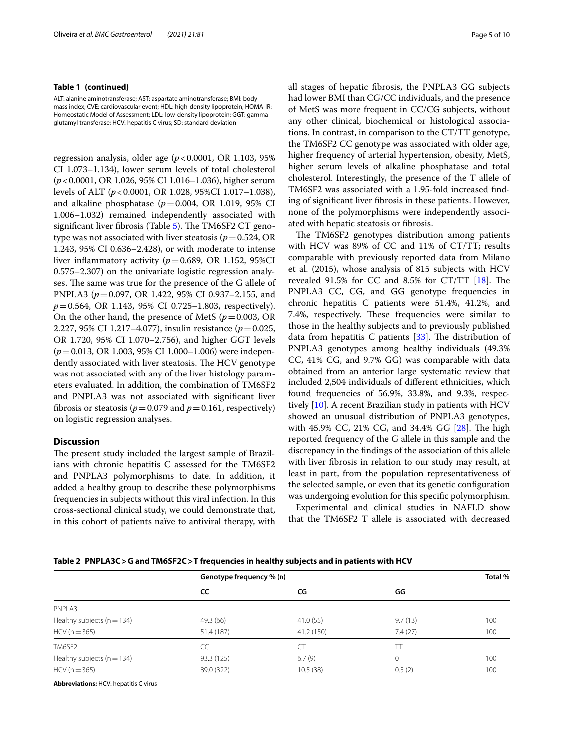## **Table 1 (continued)**

ALT: alanine aminotransferase; AST: aspartate aminotransferase; BMI: body mass index; CVE: cardiovascular event; HDL: high-density lipoprotein; HOMA-IR: Homeostatic Model of Assessment; LDL: low-density lipoprotein; GGT: gamma glutamyl transferase; HCV: hepatitis C virus; SD: standard deviation

regression analysis, older age  $(p<0.0001, \text{OR } 1.103, 95\%)$ CI 1.073–1.134), lower serum levels of total cholesterol (*p*<0.0001, OR 1.026, 95% CI 1.016–1.036), higher serum levels of ALT (*p*<0.0001, OR 1.028, 95%CI 1.017–1.038), and alkaline phosphatase  $(p=0.004, \text{ OR } 1.019, 95\% \text{ CI}$ 1.006–1.032) remained independently associated with significant liver fibrosis (Table  $5$ ). The TM6SF2 CT genotype was not associated with liver steatosis ( $p=0.524$ , OR 1.243, 95% CI 0.636–2.428), or with moderate to intense liver inflammatory activity  $(p=0.689, \text{ OR } 1.152, 95\% \text{ CI}$ 0.575–2.307) on the univariate logistic regression analyses. The same was true for the presence of the G allele of PNPLA3 (*p*=0.097, OR 1.422, 95% CI 0.937–2.155, and *p*=0.564, OR 1.143, 95% CI 0.725–1.803, respectively). On the other hand, the presence of MetS  $(p=0.003, \text{OR})$ 2.227, 95% CI 1.217–4.077), insulin resistance (*p*=0.025, OR 1.720, 95% CI 1.070–2.756), and higher GGT levels (*p*=0.013, OR 1.003, 95% CI 1.000–1.006) were independently associated with liver steatosis. The HCV genotype was not associated with any of the liver histology parameters evaluated. In addition, the combination of TM6SF2 and PNPLA3 was not associated with signifcant liver fibrosis or steatosis ( $p = 0.079$  and  $p = 0.161$ , respectively) on logistic regression analyses.

## **Discussion**

The present study included the largest sample of Brazilians with chronic hepatitis C assessed for the TM6SF2 and PNPLA3 polymorphisms to date. In addition, it added a healthy group to describe these polymorphisms frequencies in subjects without this viral infection. In this cross-sectional clinical study, we could demonstrate that, in this cohort of patients naïve to antiviral therapy, with all stages of hepatic fbrosis, the PNPLA3 GG subjects had lower BMI than CG/CC individuals, and the presence of MetS was more frequent in CC/CG subjects, without any other clinical, biochemical or histological associations. In contrast, in comparison to the CT/TT genotype, the TM6SF2 CC genotype was associated with older age, higher frequency of arterial hypertension, obesity, MetS, higher serum levels of alkaline phosphatase and total cholesterol. Interestingly, the presence of the T allele of TM6SF2 was associated with a 1.95-fold increased fnding of signifcant liver fbrosis in these patients. However, none of the polymorphisms were independently associated with hepatic steatosis or fbrosis.

The TM6SF2 genotypes distribution among patients with HCV was 89% of CC and 11% of CT/TT; results comparable with previously reported data from Milano et al. (2015), whose analysis of 815 subjects with HCV revealed 91.5% for CC and 8.5% for CT/TT  $[18]$  $[18]$ . The PNPLA3 CC, CG, and GG genotype frequencies in chronic hepatitis C patients were 51.4%, 41.2%, and 7.4%, respectively. These frequencies were similar to those in the healthy subjects and to previously published data from hepatitis C patients  $[33]$  $[33]$  $[33]$ . The distribution of PNPLA3 genotypes among healthy individuals (49.3% CC, 41% CG, and 9.7% GG) was comparable with data obtained from an anterior large systematic review that included 2,504 individuals of diferent ethnicities, which found frequencies of 56.9%, 33.8%, and 9.3%, respectively [\[10](#page-8-27)]. A recent Brazilian study in patients with HCV showed an unusual distribution of PNPLA3 genotypes, with 45.9% CC, 21% CG, and 34.4% GG  $[28]$  $[28]$ . The high reported frequency of the G allele in this sample and the discrepancy in the fndings of the association of this allele with liver fbrosis in relation to our study may result, at least in part, from the population representativeness of the selected sample, or even that its genetic confguration was undergoing evolution for this specifc polymorphism.

Experimental and clinical studies in NAFLD show that the TM6SF2 T allele is associated with decreased

<span id="page-4-0"></span>**Table 2 PNPLA3C>G and TM6SF2C>T frequencies in healthy subjects and in patients with HCV**

|                                | Genotype frequency % (n) |            |              | Total % |
|--------------------------------|--------------------------|------------|--------------|---------|
|                                | CC                       | CG         | GG           |         |
| PNPLA3                         |                          |            |              |         |
| Healthy subjects ( $n = 134$ ) | 49.3 (66)                | 41.0(55)   | 9.7(13)      | 100     |
| $HCV(n = 365)$                 | 51.4 (187)               | 41.2 (150) | 7.4(27)      | 100     |
| TM6SF2                         | CC                       | <b>CT</b>  |              |         |
| Healthy subjects ( $n = 134$ ) | 93.3 (125)               | 6.7(9)     | $\mathbf{0}$ | 100     |
| $HCV(n = 365)$                 | 89.0 (322)               | 10.5(38)   | 0.5(2)       | 100     |

**Abbreviations:** HCV: hepatitis C virus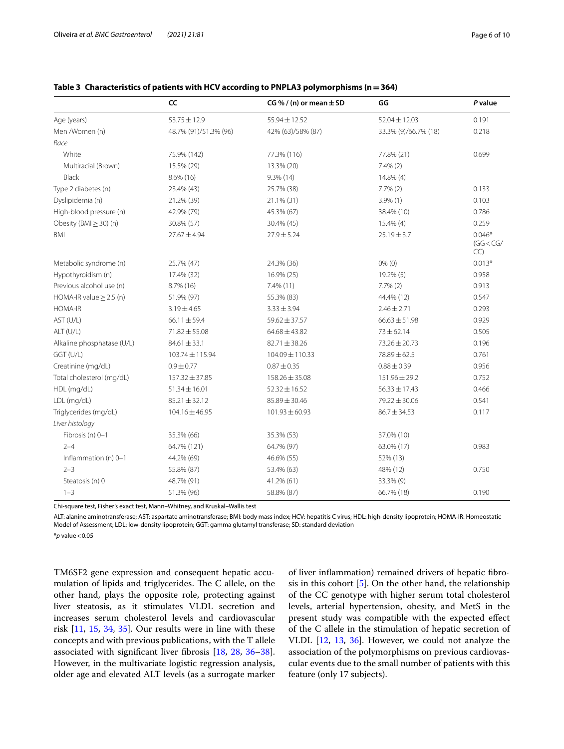|                              | CC                    | CG % / (n) or mean $\pm$ SD | GG                   | P value                      |
|------------------------------|-----------------------|-----------------------------|----------------------|------------------------------|
| Age (years)                  | $53.75 \pm 12.9$      | $55.94 \pm 12.52$           | $52.04 \pm 12.03$    | 0.191                        |
| Men /Women (n)               | 48.7% (91)/51.3% (96) | 42% (63)/58% (87)           | 33.3% (9)/66.7% (18) | 0.218                        |
| Race                         |                       |                             |                      |                              |
| White                        | 75.9% (142)           | 77.3% (116)                 | 77.8% (21)           | 0.699                        |
| Multiracial (Brown)          | 15.5% (29)            | 13.3% (20)                  | $7.4\%$ $(2)$        |                              |
| Black                        | 8.6% (16)             | $9.3\%$ (14)                | 14.8% (4)            |                              |
| Type 2 diabetes (n)          | 23.4% (43)            | 25.7% (38)                  | $7.7\%$ $(2)$        | 0.133                        |
| Dyslipidemia (n)             | 21.2% (39)            | 21.1% (31)                  | $3.9\%$ (1)          | 0.103                        |
| High-blood pressure (n)      | 42.9% (79)            | 45.3% (67)                  | 38.4% (10)           | 0.786                        |
| Obesity (BMI $\geq$ 30) (n)  | 30.8% (57)            | 30.4% (45)                  | 15.4% (4)            | 0.259                        |
| BMI                          | $27.67 \pm 4.94$      | $27.9 \pm 5.24$             | $25.19 \pm 3.7$      | $0.046*$<br>(GG < CG)<br>CC) |
| Metabolic syndrome (n)       | 25.7% (47)            | 24.3% (36)                  | $0\%$ (0)            | $0.013*$                     |
| Hypothyroidism (n)           | 17.4% (32)            | 16.9% (25)                  | 19.2% (5)            | 0.958                        |
| Previous alcohol use (n)     | 8.7% (16)             | 7.4% (11)                   | $7.7\%$ $(2)$        | 0.913                        |
| HOMA-IR value $\geq$ 2.5 (n) | 51.9% (97)            | 55.3% (83)                  | 44.4% (12)           | 0.547                        |
| <b>HOMA-IR</b>               | $3.19 \pm 4.65$       | $3.33 \pm 3.94$             | $2.46 \pm 2.71$      | 0.293                        |
| AST (U/L)                    | $66.11 \pm 59.4$      | $59.62 \pm 37.57$           | $66.63 \pm 51.98$    | 0.929                        |
| ALT (U/L)                    | 71.82 ± 55.08         | $64.68 \pm 43.82$           | $73 \pm 62.14$       | 0.505                        |
| Alkaline phosphatase (U/L)   | $84.61 \pm 33.1$      | $82.71 \pm 38.26$           | 73.26 ± 20.73        | 0.196                        |
| GGT (U/L)                    | 103.74 ± 115.94       | $104.09 \pm 110.33$         | 78.89 ± 62.5         | 0.761                        |
| Creatinine (mg/dL)           | $0.9 \pm 0.77$        | $0.87 \pm 0.35$             | $0.88 \pm 0.39$      | 0.956                        |
| Total cholesterol (mg/dL)    | $157.32 \pm 37.85$    | $158.26 \pm 35.08$          | 151.96 ± 29.2        | 0.752                        |
| HDL (mg/dL)                  | $51.34 \pm 16.01$     | $52.32 \pm 16.52$           | $56.33 \pm 17.43$    | 0.466                        |
| LDL (mg/dL)                  | $85.21 \pm 32.12$     | 85.89 ± 30.46               | 79.22 ± 30.06        | 0.541                        |
| Triglycerides (mg/dL)        | 104.16±46.95          | $101.93 \pm 60.93$          | $86.7 \pm 34.53$     | 0.117                        |
| Liver histology              |                       |                             |                      |                              |
| Fibrosis (n) 0-1             | 35.3% (66)            | 35.3% (53)                  | 37.0% (10)           |                              |
| $2 - 4$                      | 64.7% (121)           | 64.7% (97)                  | 63.0% (17)           | 0.983                        |
| Inflammation (n) 0-1         | 44.2% (69)            | 46.6% (55)                  | 52% (13)             |                              |
| $2 - 3$                      | 55.8% (87)            | 53.4% (63)                  | 48% (12)             | 0.750                        |
| Steatosis (n) 0              | 48.7% (91)            | 41.2% (61)                  | 33.3% (9)            |                              |
| $1 - 3$                      | 51.3% (96)            | 58.8% (87)                  | 66.7% (18)           | 0.190                        |

## <span id="page-5-0"></span>**Table 3 Characteristics of patients with HCV according to PNPLA3 polymorphisms (n=364)**

Chi-square test, Fisher's exact test, Mann–Whitney, and Kruskal–Wallis test

ALT: alanine aminotransferase; AST: aspartate aminotransferase; BMI: body mass index; HCV: hepatitis C virus; HDL: high-density lipoprotein; HOMA-IR: Homeostatic Model of Assessment; LDL: low-density lipoprotein; GGT: gamma glutamyl transferase; SD: standard deviation

\**p* value<0.05

TM6SF2 gene expression and consequent hepatic accumulation of lipids and triglycerides. The C allele, on the other hand, plays the opposite role, protecting against liver steatosis, as it stimulates VLDL secretion and increases serum cholesterol levels and cardiovascular risk [\[11](#page-8-9), [15,](#page-8-12) [34](#page-9-3), [35\]](#page-9-4). Our results were in line with these concepts and with previous publications, with the T allele associated with signifcant liver fbrosis [\[18](#page-8-14), [28,](#page-8-23) [36](#page-9-5)[–38](#page-9-6)]. However, in the multivariate logistic regression analysis, older age and elevated ALT levels (as a surrogate marker of liver infammation) remained drivers of hepatic fbrosis in this cohort  $[5]$  $[5]$ . On the other hand, the relationship of the CC genotype with higher serum total cholesterol levels, arterial hypertension, obesity, and MetS in the present study was compatible with the expected efect of the C allele in the stimulation of hepatic secretion of VLDL [\[12,](#page-8-10) [13](#page-8-28), [36](#page-9-5)]. However, we could not analyze the association of the polymorphisms on previous cardiovascular events due to the small number of patients with this feature (only 17 subjects).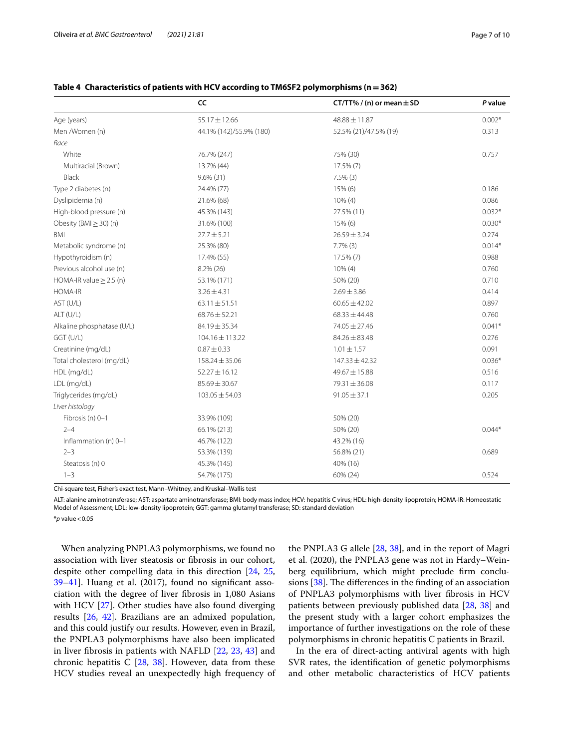|                              | CC                      | CT/TT% / (n) or mean $\pm$ SD | P value  |
|------------------------------|-------------------------|-------------------------------|----------|
| Age (years)                  | 55.17 ± 12.66           | 48.88 ± 11.87                 | $0.002*$ |
| Men /Women (n)               | 44.1% (142)/55.9% (180) | 52.5% (21)/47.5% (19)         | 0.313    |
| Race                         |                         |                               |          |
| White                        | 76.7% (247)             | 75% (30)                      | 0.757    |
| Multiracial (Brown)          | 13.7% (44)              | 17.5% (7)                     |          |
| Black                        | $9.6\%$ (31)            | $7.5\%$ (3)                   |          |
| Type 2 diabetes (n)          | 24.4% (77)              | 15% (6)                       | 0.186    |
| Dyslipidemia (n)             | 21.6% (68)              | $10\%$ (4)                    | 0.086    |
| High-blood pressure (n)      | 45.3% (143)             | 27.5% (11)                    | $0.032*$ |
| Obesity (BMI $\geq$ 30) (n)  | 31.6% (100)             | 15% (6)                       | $0.030*$ |
| <b>BMI</b>                   | $27.7 \pm 5.21$         | $26.59 \pm 3.24$              | 0.274    |
| Metabolic syndrome (n)       | 25.3% (80)              | $7.7\%$ (3)                   | $0.014*$ |
| Hypothyroidism (n)           | 17.4% (55)              | 17.5% (7)                     | 0.988    |
| Previous alcohol use (n)     | 8.2% (26)               | $10\%$ (4)                    | 0.760    |
| HOMA-IR value $\geq$ 2.5 (n) | 53.1% (171)             | 50% (20)                      | 0.710    |
| <b>HOMA-IR</b>               | $3.26 \pm 4.31$         | $2.69 \pm 3.86$               | 0.414    |
| AST (U/L)                    | $63.11 \pm 51.51$       | $60.65 \pm 42.02$             | 0.897    |
| ALT (U/L)                    | 68.76 ± 52.21           | $68.33 \pm 44.48$             | 0.760    |
| Alkaline phosphatase (U/L)   | 84.19 ± 35.34           | 74.05 ± 27.46                 | $0.041*$ |
| GGT (U/L)                    | 104.16 ± 113.22         | $84.26 \pm 83.48$             | 0.276    |
| Creatinine (mg/dL)           | $0.87 \pm 0.33$         | $1.01 \pm 1.57$               | 0.091    |
| Total cholesterol (mg/dL)    | $158.24 \pm 35.06$      | 147.33 ± 42.32                | $0.036*$ |
| HDL (mg/dL)                  | $52.27 \pm 16.12$       | 49.67 ± 15.88                 | 0.516    |
| LDL (mg/dL)                  | 85.69 ± 30.67           | 79.31 ± 36.08                 | 0.117    |
| Triglycerides (mg/dL)        | $103.05 \pm 54.03$      | $91.05 \pm 37.1$              | 0.205    |
| Liver histology              |                         |                               |          |
| Fibrosis (n) 0-1             | 33.9% (109)             | 50% (20)                      |          |
| $2 - 4$                      | 66.1% (213)             | 50% (20)                      | $0.044*$ |
| Inflammation (n) 0-1         | 46.7% (122)             | 43.2% (16)                    |          |
| $2 - 3$                      | 53.3% (139)             | 56.8% (21)                    | 0.689    |
| Steatosis (n) 0              | 45.3% (145)             | 40% (16)                      |          |
| $1 - 3$                      | 54.7% (175)             | 60% (24)                      | 0.524    |

## <span id="page-6-0"></span>**Table 4 Characteristics of patients with HCV according to TM6SF2 polymorphisms (n=362)**

Chi-square test, Fisher's exact test, Mann–Whitney, and Kruskal–Wallis test

ALT: alanine aminotransferase; AST: aspartate aminotransferase; BMI: body mass index; HCV: hepatitis C virus; HDL: high-density lipoprotein; HOMA-IR: Homeostatic Model of Assessment; LDL: low-density lipoprotein; GGT: gamma glutamyl transferase; SD: standard deviation

\**p* value<0.05

When analyzing PNPLA3 polymorphisms, we found no association with liver steatosis or fbrosis in our cohort, despite other compelling data in this direction [\[24](#page-8-19), [25](#page-8-20), [39–](#page-9-7)[41](#page-9-8)]. Huang et al. (2017), found no signifcant association with the degree of liver fbrosis in 1,080 Asians with HCV [\[27\]](#page-8-22). Other studies have also found diverging results [\[26](#page-8-21), [42\]](#page-9-9). Brazilians are an admixed population, and this could justify our results. However, even in Brazil, the PNPLA3 polymorphisms have also been implicated in liver fbrosis in patients with NAFLD [[22,](#page-8-26) [23,](#page-8-18) [43](#page-9-10)] and chronic hepatitis C [\[28](#page-8-23), [38](#page-9-6)]. However, data from these HCV studies reveal an unexpectedly high frequency of the PNPLA3 G allele [[28,](#page-8-23) [38](#page-9-6)], and in the report of Magri et al. (2020), the PNPLA3 gene was not in Hardy–Weinberg equilibrium, which might preclude frm conclusions  $[38]$ . The differences in the finding of an association of PNPLA3 polymorphisms with liver fbrosis in HCV patients between previously published data [[28](#page-8-23), [38\]](#page-9-6) and the present study with a larger cohort emphasizes the importance of further investigations on the role of these polymorphisms in chronic hepatitis C patients in Brazil.

In the era of direct-acting antiviral agents with high SVR rates, the identifcation of genetic polymorphisms and other metabolic characteristics of HCV patients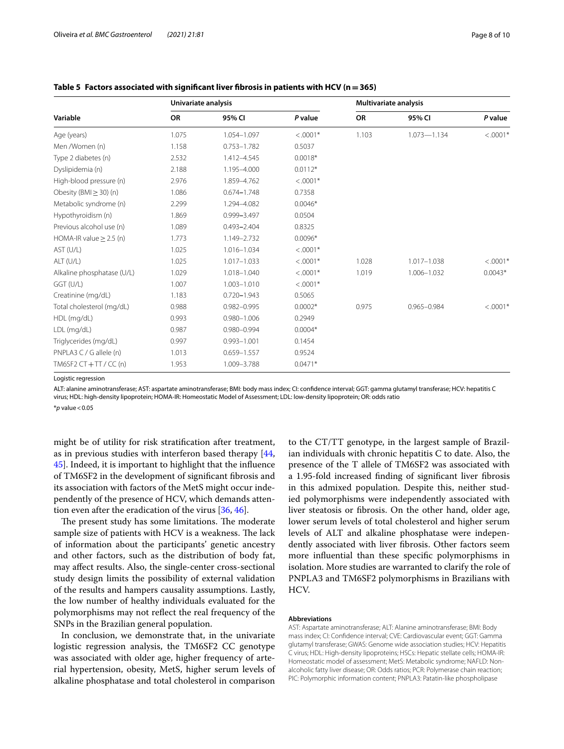|                              | Univariate analysis |                 |            | <b>Multivariate analysis</b> |                 |            |
|------------------------------|---------------------|-----------------|------------|------------------------------|-----------------|------------|
| Variable                     | <b>OR</b>           | 95% CI          | P value    | <b>OR</b>                    | 95% CI          | P value    |
| Age (years)                  | 1.075               | 1.054-1.097     | $< .0001*$ | 1.103                        | $1.073 - 1.134$ | $< .0001*$ |
| Men /Women (n)               | 1.158               | $0.753 - 1.782$ | 0.5037     |                              |                 |            |
| Type 2 diabetes (n)          | 2.532               | 1.412-4.545     | $0.0018*$  |                              |                 |            |
| Dyslipidemia (n)             | 2.188               | 1.195-4.000     | $0.0112*$  |                              |                 |            |
| High-blood pressure (n)      | 2.976               | 1.859-4.762     | $< .0001*$ |                              |                 |            |
| Obesity $(BMI > 30)$ (n)     | 1.086               | $0.674 - 1.748$ | 0.7358     |                              |                 |            |
| Metabolic syndrome (n)       | 2.299               | 1.294-4.082     | $0.0046*$  |                              |                 |            |
| Hypothyroidism (n)           | 1.869               | 0.999-3.497     | 0.0504     |                              |                 |            |
| Previous alcohol use (n)     | 1.089               | $0.493 - 2.404$ | 0.8325     |                              |                 |            |
| HOMA-IR value $\geq$ 2.5 (n) | 1.773               | 1.149-2.732     | $0.0096*$  |                              |                 |            |
| AST (U/L)                    | 1.025               | 1.016-1.034     | $< .0001*$ |                              |                 |            |
| ALT (U/L)                    | 1.025               | $1.017 - 1.033$ | $< .0001*$ | 1.028                        | 1.017-1.038     | $< .0001*$ |
| Alkaline phosphatase (U/L)   | 1.029               | 1.018-1.040     | $< .0001*$ | 1.019                        | 1.006-1.032     | $0.0043*$  |
| GGT (U/L)                    | 1.007               | 1.003-1.010     | $< .0001*$ |                              |                 |            |
| Creatinine (mg/dL)           | 1.183               | $0.720 - 1.943$ | 0.5065     |                              |                 |            |
| Total cholesterol (mg/dL)    | 0.988               | $0.982 - 0.995$ | $0.0002*$  | 0.975                        | 0.965-0.984     | $< .0001*$ |
| HDL (mg/dL)                  | 0.993               | $0.980 - 1.006$ | 0.2949     |                              |                 |            |
| LDL (mg/dL)                  | 0.987               | 0.980-0.994     | $0.0004*$  |                              |                 |            |
| Triglycerides (mg/dL)        | 0.997               | $0.993 - 1.001$ | 0.1454     |                              |                 |            |
| PNPLA3 C / G allele (n)      | 1.013               | $0.659 - 1.557$ | 0.9524     |                              |                 |            |
| TM6SF2 $CT + TT / CC(n)$     | 1.953               | 1.009-3.788     | $0.0471*$  |                              |                 |            |

<span id="page-7-0"></span>**Table 5 Factors associated with signifcant liver fbrosis in patients with HCV (n=365)**

Logistic regression

ALT: alanine aminotransferase; AST: aspartate aminotransferase; BMI: body mass index; CI: confdence interval; GGT: gamma glutamyl transferase; HCV: hepatitis C virus; HDL: high-density lipoprotein; HOMA-IR: Homeostatic Model of Assessment; LDL: low-density lipoprotein; OR: odds ratio

\**p* value<0.05

might be of utility for risk stratifcation after treatment, as in previous studies with interferon based therapy [\[44](#page-9-11), [45\]](#page-9-12). Indeed, it is important to highlight that the infuence of TM6SF2 in the development of signifcant fbrosis and its association with factors of the MetS might occur independently of the presence of HCV, which demands attention even after the eradication of the virus [\[36](#page-9-5), [46](#page-9-13)].

The present study has some limitations. The moderate sample size of patients with HCV is a weakness. The lack of information about the participants' genetic ancestry and other factors, such as the distribution of body fat, may afect results. Also, the single-center cross-sectional study design limits the possibility of external validation of the results and hampers causality assumptions. Lastly, the low number of healthy individuals evaluated for the polymorphisms may not refect the real frequency of the SNPs in the Brazilian general population.

In conclusion, we demonstrate that, in the univariate logistic regression analysis, the TM6SF2 CC genotype was associated with older age, higher frequency of arterial hypertension, obesity, MetS, higher serum levels of alkaline phosphatase and total cholesterol in comparison

to the CT/TT genotype, in the largest sample of Brazilian individuals with chronic hepatitis C to date. Also, the presence of the T allele of TM6SF2 was associated with a 1.95-fold increased fnding of signifcant liver fbrosis in this admixed population. Despite this, neither studied polymorphisms were independently associated with liver steatosis or fbrosis. On the other hand, older age, lower serum levels of total cholesterol and higher serum levels of ALT and alkaline phosphatase were independently associated with liver fbrosis. Other factors seem more infuential than these specifc polymorphisms in isolation. More studies are warranted to clarify the role of PNPLA3 and TM6SF2 polymorphisms in Brazilians with HCV.

#### **Abbreviations**

AST: Aspartate aminotransferase; ALT: Alanine aminotransferase; BMI: Body mass index; CI: Confdence interval; CVE: Cardiovascular event; GGT: Gamma glutamyl transferase; GWAS: Genome wide association studies; HCV: Hepatitis C virus; HDL: High-density lipoproteins; HSCs: Hepatic stellate cells; HOMA-IR: Homeostatic model of assessment; MetS: Metabolic syndrome; NAFLD: Nonalcoholic fatty liver disease; OR: Odds ratios; PCR: Polymerase chain reaction; PIC: Polymorphic information content; PNPLA3: Patatin-like phospholipase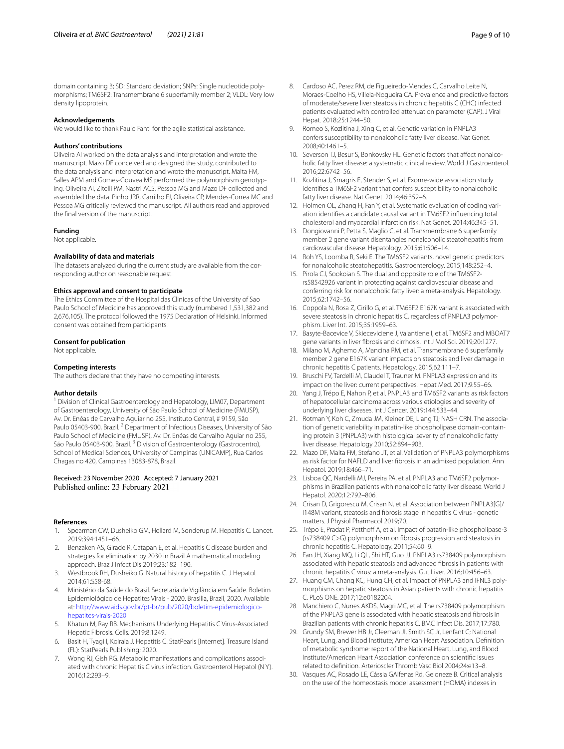domain containing 3; SD: Standard deviation; SNPs: Single nucleotide polymorphisms; TM6SF2: Transmembrane 6 superfamily member 2; VLDL: Very low density lipoprotein.

#### **Acknowledgements**

We would like to thank Paulo Fanti for the agile statistical assistance.

#### **Authors' contributions**

Oliveira AI worked on the data analysis and interpretation and wrote the manuscript. Mazo DF conceived and designed the study, contributed to the data analysis and interpretation and wrote the manuscript. Malta FM, Salles APM and Gomes-Gouvea MS performed the polymorphism genotyping. Oliveira AI, Zitelli PM, Nastri ACS, Pessoa MG and Mazo DF collected and assembled the data. Pinho JRR, Carrilho FJ, Oliveira CP, Mendes-Correa MC and Pessoa MG critically reviewed the manuscript. All authors read and approved the fnal version of the manuscript.

#### **Funding**

Not applicable.

## **Availability of data and materials**

The datasets analyzed during the current study are available from the corresponding author on reasonable request.

#### **Ethics approval and consent to participate**

The Ethics Committee of the Hospital das Clinicas of the University of Sao Paulo School of Medicine has approved this study (numbered 1,531,382 and 2,676,105). The protocol followed the 1975 Declaration of Helsinki. Informed consent was obtained from participants.

#### **Consent for publication**

Not applicable.

#### **Competing interests**

The authors declare that they have no competing interests.

#### **Author details**

<sup>1</sup> Division of Clinical Gastroenterology and Hepatology, LIM07, Department of Gastroenterology, University of São Paulo School of Medicine (FMUSP), Av. Dr. Enéas de Carvalho Aguiar no 255, Instituto Central, # 9159, São Paulo 05403‑900, Brazil. <sup>2</sup> Department of Infectious Diseases, University of São Paulo School of Medicine (FMUSP), Av. Dr. Enéas de Carvalho Aguiar no 255, São Paulo 05403-900, Brazil.<sup>3</sup> Division of Gastroenterology (Gastrocentro), School of Medical Sciences, University of Campinas (UNICAMP), Rua Carlos Chagas no 420, Campinas 13083‑878, Brazil.

#### Received: 23 November 2020 Accepted: 7 January 2021 Published online: 23 February 2021

#### **References**

- <span id="page-8-0"></span>1. Spearman CW, Dusheiko GM, Hellard M, Sonderup M. Hepatitis C. Lancet. 2019;394:1451–66.
- <span id="page-8-1"></span>2. Benzaken AS, Girade R, Catapan E, et al. Hepatitis C disease burden and strategies for elimination by 2030 in Brazil A mathematical modeling approach. Braz J Infect Dis 2019;23:182–190.
- <span id="page-8-2"></span>3. Westbrook RH, Dusheiko G. Natural history of hepatitis C. J Hepatol. 2014;61:S58-68.
- <span id="page-8-3"></span>4. Ministério da Saúde do Brasil. Secretaria de Vigilância em Saúde. Boletim Epidemiológico de Hepatites Virais - 2020. Brasilia, Brazil, 2020. Available at: [http://www.aids.gov.br/pt-br/pub/2020/boletim-epidemiologico](http://www.aids.gov.br/pt-br/pub/2020/boletim-epidemiologico-hepatites-virais-2020)[hepatites-virais-2020](http://www.aids.gov.br/pt-br/pub/2020/boletim-epidemiologico-hepatites-virais-2020)
- <span id="page-8-4"></span>5. Khatun M, Ray RB. Mechanisms Underlying Hepatitis C Virus-Associated Hepatic Fibrosis. Cells. 2019;8:1249.
- <span id="page-8-5"></span>6. Basit H, Tyagi I, Koirala J. Hepatitis C. StatPearls [Internet]. Treasure Island (FL): StatPearls Publishing; 2020.
- <span id="page-8-6"></span>Wong RJ, Gish RG. Metabolic manifestations and complications associated with chronic Hepatitis C virus infection. Gastroenterol Hepatol (N Y). 2016;12:293–9.
- <span id="page-8-7"></span>8. Cardoso AC, Perez RM, de Figueiredo-Mendes C, Carvalho Leite N, Moraes-Coelho HS, Villela-Nogueira CA. Prevalence and predictive factors of moderate/severe liver steatosis in chronic hepatitis C (CHC) infected patients evaluated with controlled attenuation parameter (CAP). J Viral Hepat. 2018;25:1244–50.
- <span id="page-8-8"></span>9. Romeo S, Kozlitina J, Xing C, et al. Genetic variation in PNPLA3 confers susceptibility to nonalcoholic fatty liver disease. Nat Genet. 2008;40:1461–5.
- <span id="page-8-27"></span>10. Severson TJ, Besur S, Bonkovsky HL. Genetic factors that affect nonalcoholic fatty liver disease: a systematic clinical review. World J Gastroenterol. 2016;22:6742–56.
- <span id="page-8-9"></span>11. Kozlitina J, Smagris E, Stender S, et al. Exome-wide association study identifes a TM6SF2 variant that confers susceptibility to nonalcoholic fatty liver disease. Nat Genet. 2014;46:352–6.
- <span id="page-8-10"></span>12. Holmen OL, Zhang H, Fan Y, et al. Systematic evaluation of coding variation identifes a candidate causal variant in TM6SF2 infuencing total cholesterol and myocardial infarction risk. Nat Genet. 2014;46:345–51.
- <span id="page-8-28"></span>13. Dongiovanni P, Petta S, Maglio C, et al. Transmembrane 6 superfamily member 2 gene variant disentangles nonalcoholic steatohepatitis from cardiovascular disease. Hepatology. 2015;61:506–14.
- <span id="page-8-11"></span>14. Roh YS, Loomba R, Seki E. The TM6SF2 variants, novel genetic predictors for nonalcoholic steatohepatitis. Gastroenterology. 2015;148:252–4.
- <span id="page-8-12"></span>15. Pirola CJ, Sookoian S. The dual and opposite role of the TM6SF2rs58542926 variant in protecting against cardiovascular disease and conferring risk for nonalcoholic fatty liver: a meta-analysis. Hepatology. 2015;62:1742–56.
- <span id="page-8-13"></span>16. Coppola N, Rosa Z, Cirillo G, et al. TM6SF2 E167K variant is associated with severe steatosis in chronic hepatitis C, regardless of PNPLA3 polymorphism. Liver Int. 2015;35:1959–63.
- 17. Basyte-Bacevice V, Skieceviciene J, Valantiene I, et al. TM6SF2 and MBOAT7 gene variants in liver fbrosis and cirrhosis. Int J Mol Sci. 2019;20:1277.
- <span id="page-8-14"></span>18. Milano M, Aghemo A, Mancina RM, et al. Transmembrane 6 superfamily member 2 gene E167K variant impacts on steatosis and liver damage in chronic hepatitis C patients. Hepatology. 2015;62:111–7.
- <span id="page-8-15"></span>19. Bruschi FV, Tardelli M, Claudel T, Trauner M. PNPLA3 expression and its impact on the liver: current perspectives. Hepat Med. 2017;9:55–66.
- <span id="page-8-16"></span>20. Yang J, Trépo E, Nahon P, et al. PNPLA3 and TM6SF2 variants as risk factors of hepatocellular carcinoma across various etiologies and severity of underlying liver diseases. Int J Cancer. 2019;144:533–44.
- <span id="page-8-17"></span>21. Rotman Y, Koh C, Zmuda JM, Kleiner DE, Liang TJ; NASH CRN. The association of genetic variability in patatin-like phospholipase domain-containing protein 3 (PNPLA3) with histological severity of nonalcoholic fatty liver disease. Hepatology 2010;52:894–903.
- <span id="page-8-26"></span>22. Mazo DF, Malta FM, Stefano JT, et al. Validation of PNPLA3 polymorphisms as risk factor for NAFLD and liver fbrosis in an admixed population. Ann Hepatol. 2019;18:466–71.
- <span id="page-8-18"></span>23. Lisboa QC, Nardelli MJ, Pereira PA, et al. PNPLA3 and TM6SF2 polymorphisms in Brazilian patients with nonalcoholic fatty liver disease. World J Hepatol. 2020;12:792–806.
- <span id="page-8-19"></span>24. Crisan D, Grigorescu M, Crisan N, et al. Association between PNPLA3[G]/ I148M variant, steatosis and fbrosis stage in hepatitis C virus - genetic matters. J Physiol Pharmacol 2019;70.
- <span id="page-8-20"></span>25. Trépo E, Pradat P, Potthoff A, et al. Impact of patatin-like phospholipase-3 (rs738409 C>G) polymorphism on fbrosis progression and steatosis in chronic hepatitis C. Hepatology. 2011;54:60–9.
- <span id="page-8-21"></span>26. Fan JH, Xiang MQ, Li QL, Shi HT, Guo JJ. PNPLA3 rs738409 polymorphism associated with hepatic steatosis and advanced fbrosis in patients with chronic hepatitis C virus: a meta-analysis. Gut Liver. 2016;10:456–63.
- <span id="page-8-22"></span>27. Huang CM, Chang KC, Hung CH, et al. Impact of PNPLA3 and IFNL3 polymorphisms on hepatic steatosis in Asian patients with chronic hepatitis C. PLoS ONE. 2017;12:e0182204.
- <span id="page-8-23"></span>28. Manchiero C, Nunes AKDS, Magri MC, et al. The rs738409 polymorphism of the PNPLA3 gene is associated with hepatic steatosis and fbrosis in Brazilian patients with chronic hepatitis C. BMC Infect Dis. 2017;17:780.
- <span id="page-8-24"></span>29. Grundy SM, Brewer HB Jr, Cleeman JI, Smith SC Jr, Lenfant C; National Heart, Lung, and Blood Institute; American Heart Association. Defnition of metabolic syndrome: report of the National Heart, Lung, and Blood Institute/American Heart Association conference on scientifc issues related to defnition. Arterioscler Thromb Vasc Biol 2004;24:e13–8.
- <span id="page-8-25"></span>30. Vasques AC, Rosado LE, Cássia GAlfenas Rd, Geloneze B. Critical analysis on the use of the homeostasis model assessment (HOMA) indexes in